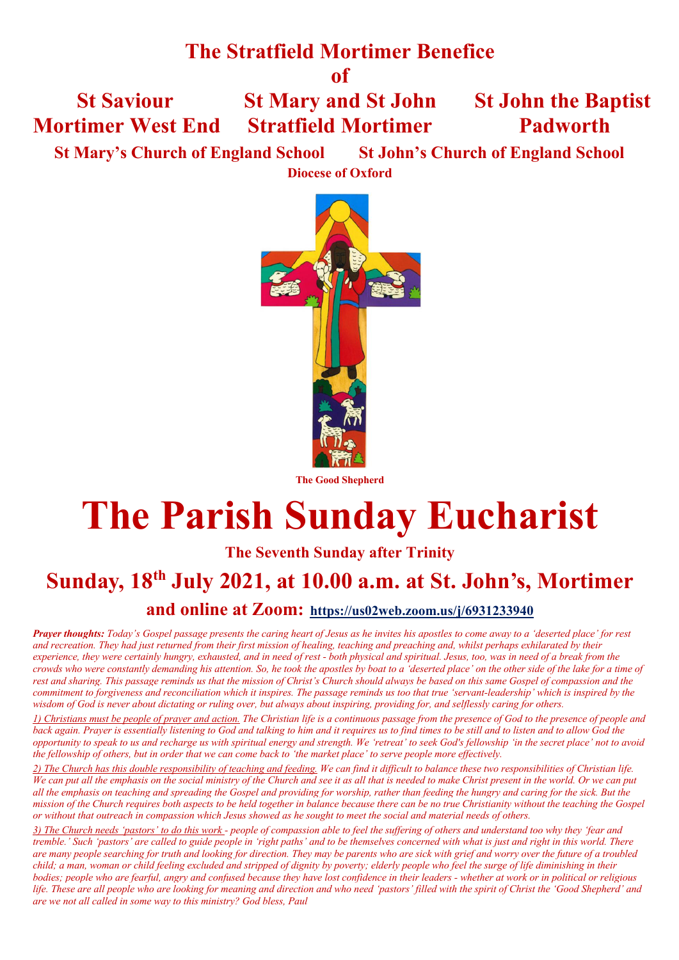### **The Stratfield Mortimer Benefice**

**of**

 **St Saviour St Mary and St John St John the Baptist Mortimer West End Stratfield Mortimer Padworth**

 **St Mary's Church of England School St John's Church of England School**

**Diocese of Oxford**



**The Good Shepherd**

# **The Parish Sunday Eucharist**

### **The Seventh Sunday after Trinity**

## **Sunday, 18th July 2021, at 10.00 a.m. at St. John's, Mortimer**

### **and online at Zoom: https://us02web.zoom.us/j/6931233940**

*Prayer thoughts: Today's Gospel passage presents the caring heart of Jesus as he invites his apostles to come away to a 'deserted place' for rest and recreation. They had just returned from their first mission of healing, teaching and preaching and, whilst perhaps exhilarated by their experience, they were certainly hungry, exhausted, and in need of rest - both physical and spiritual. Jesus, too, was in need of a break from the crowds who were constantly demanding his attention. So, he took the apostles by boat to a 'deserted place' on the other side of the lake for a time of rest and sharing. This passage reminds us that the mission of Christ's Church should always be based on this same Gospel of compassion and the commitment to forgiveness and reconciliation which it inspires. The passage reminds us too that true 'servant-leadership' which is inspired by the wisdom of God is never about dictating or ruling over, but always about inspiring, providing for, and selflessly caring for others.*

*1) Christians must be people of prayer and action. The Christian life is a continuous passage from the presence of God to the presence of people and back again. Prayer is essentially listening to God and talking to him and it requires us to find times to be still and to listen and to allow God the opportunity to speak to us and recharge us with spiritual energy and strength. We 'retreat' to seek God's fellowship 'in the secret place' not to avoid the fellowship of others, but in order that we can come back to 'the market place' to serve people more effectively.*

*2) The Church has this double responsibility of teaching and feeding. We can find it difficult to balance these two responsibilities of Christian life. We can put all the emphasis on the social ministry of the Church and see it as all that is needed to make Christ present in the world. Or we can put all the emphasis on teaching and spreading the Gospel and providing for worship, rather than feeding the hungry and caring for the sick. But the mission of the Church requires both aspects to be held together in balance because there can be no true Christianity without the teaching the Gospel or without that outreach in compassion which Jesus showed as he sought to meet the social and material needs of others.*

*3) The Church needs 'pastors' to do this work - people of compassion able to feel the suffering of others and understand too why they 'fear and tremble.' Such 'pastors' are called to guide people in 'right paths' and to be themselves concerned with what is just and right in this world. There are many people searching for truth and looking for direction. They may be parents who are sick with grief and worry over the future of a troubled child; a man, woman or child feeling excluded and stripped of dignity by poverty; elderly people who feel the surge of life diminishing in their bodies; people who are fearful, angry and confused because they have lost confidence in their leaders - whether at work or in political or religious life. These are all people who are looking for meaning and direction and who need 'pastors' filled with the spirit of Christ the 'Good Shepherd' and are we not all called in some way to this ministry? God bless, Paul*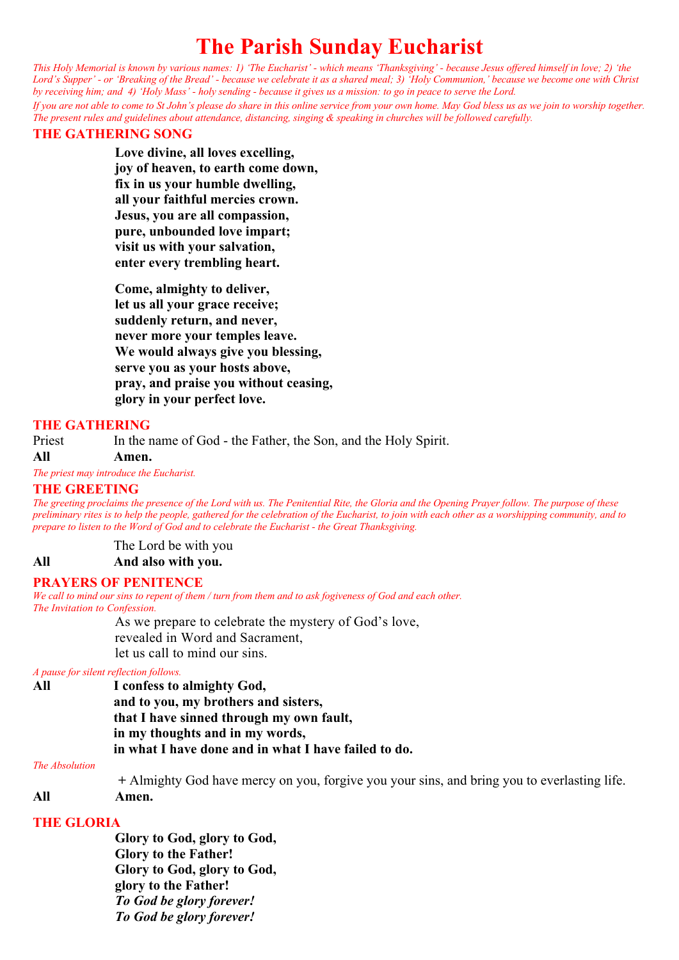### **The Parish Sunday Eucharist**

*This Holy Memorial is known by various names: 1) 'The Eucharist' - which means 'Thanksgiving' - because Jesus offered himself in love; 2) 'the Lord's Supper' - or 'Breaking of the Bread' - because we celebrate it as a shared meal; 3) 'Holy Communion,' because we become one with Christ by receiving him; and 4) 'Holy Mass' - holy sending - because it gives us a mission: to go in peace to serve the Lord.*

*If you are not able to come to St John's please do share in this online service from your own home. May God bless us as we join to worship together. The present rules and guidelines about attendance, distancing, singing & speaking in churches will be followed carefully.*

#### **THE GATHERING SONG**

**Love divine, all loves excelling, joy of heaven, to earth come down, fix in us your humble dwelling, all your faithful mercies crown. Jesus, you are all compassion, pure, unbounded love impart; visit us with your salvation, enter every trembling heart.**

**Come, almighty to deliver, let us all your grace receive; suddenly return, and never, never more your temples leave. We would always give you blessing, serve you as your hosts above, pray, and praise you without ceasing, glory in your perfect love.**

#### **THE GATHERING**

Priest In the name of God - the Father, the Son, and the Holy Spirit.

#### **All Amen.**

*The priest may introduce the Eucharist.*

#### **THE GREETING**

*The greeting proclaims the presence of the Lord with us. The Penitential Rite, the Gloria and the Opening Prayer follow. The purpose of these preliminary rites is to help the people, gathered for the celebration of the Eucharist, to join with each other as a worshipping community, and to prepare to listen to the Word of God and to celebrate the Eucharist - the Great Thanksgiving.*

The Lord be with you

#### **All And also with you.**

#### **PRAYERS OF PENITENCE**

*We call to mind our sins to repent of them / turn from them and to ask fogiveness of God and each other. The Invitation to Confession.*

As we prepare to celebrate the mystery of God's love, revealed in Word and Sacrament, let us call to mind our sins.

#### *A pause for silent reflection follows.*

| All | I confess to almighty God,                           |
|-----|------------------------------------------------------|
|     | and to you, my brothers and sisters,                 |
|     | that I have sinned through my own fault,             |
|     | in my thoughts and in my words,                      |
|     | in what I have done and in what I have failed to do. |

#### Priest *The Absolution*

 **+** Almighty God have mercy on you, forgive you your sins, and bring you to everlasting life. **All Amen.**

#### **THE GLORIA**

**Glory to God, glory to God, Glory to the Father! Glory to God, glory to God, glory to the Father!** *To God be glory forever! To God be glory forever!*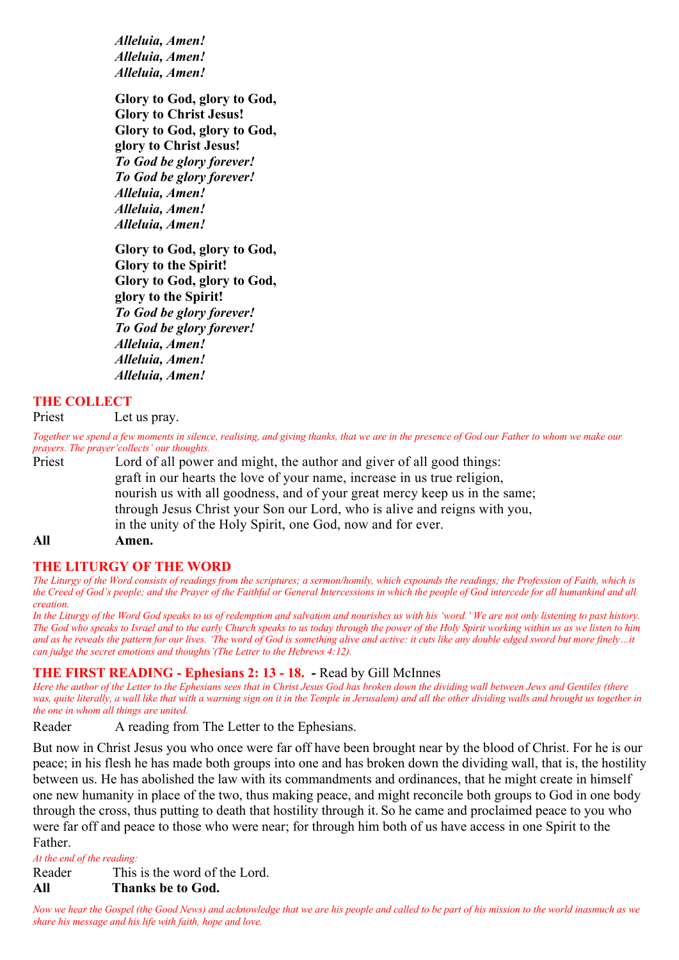*Alleluia, Amen! Alleluia, Amen! Alleluia, Amen!*

**Glory to God, glory to God, Glory to Christ Jesus! Glory to God, glory to God, glory to Christ Jesus!** *To God be glory forever! To God be glory forever! Alleluia, Amen! Alleluia, Amen! Alleluia, Amen!*

**Glory to God, glory to God, Glory to the Spirit! Glory to God, glory to God, glory to the Spirit!** *To God be glory forever! To God be glory forever! Alleluia, Amen! Alleluia, Amen! Alleluia, Amen!*

#### **THE COLLECT**

Priest Let us pray.

*Together we spend a few moments in silence, realising, and giving thanks, that we are in the presence of God our Father to whom we make our prayers. The prayer'collects' our thoughts.* 

Priest Lord of all power and might, the author and giver of all good things: graft in our hearts the love of your name, increase in us true religion, nourish us with all goodness, and of your great mercy keep us in the same; through Jesus Christ your Son our Lord, who is alive and reigns with you, in the unity of the Holy Spirit, one God, now and for ever.

**All Amen.**

#### **THE LITURGY OF THE WORD**

*The Liturgy of the Word consists of readings from the scriptures; a sermon/homily, which expounds the readings; the Profession of Faith, which is the Creed of God's people; and the Prayer of the Faithful or General Intercessions in which the people of God intercede for all humankind and all creation.* 

*In the Liturgy of the Word God speaks to us of redemption and salvation and nourishes us with his 'word.' We are not only listening to past history. The God who speaks to Israel and to the early Church speaks to us today through the power of the Holy Spirit working within us as we listen to him*  and as he reveals the pattern for our lives. 'The word of God is something alive and active: it cuts like any double edged sword but more finely...it *can judge the secret emotions and thoughts'(The Letter to the Hebrews 4:12).*

#### **THE FIRST READING - Ephesians 2: 13 - 18. -** Read by Gill McInnes

*Here the author of the Letter to the Ephesians sees that in Christ Jesus God has broken down the dividing wall between Jews and Gentiles (there*  was, quite literally, a wall like that with a warning sign on it in the Temple in Jerusalem) and all the other dividing walls and brought us together in *the one in whom all things are united.*

Reader A reading from The Letter to the Ephesians.

But now in Christ Jesus you who once were far off have been brought near by the blood of Christ. For he is our peace; in his flesh he has made both groups into one and has broken down the dividing wall, that is, the hostility between us. He has abolished the law with its commandments and ordinances, that he might create in himself one new humanity in place of the two, thus making peace, and might reconcile both groups to God in one body through the cross, thus putting to death that hostility through it. So he came and proclaimed peace to you who were far off and peace to those who were near; for through him both of us have access in one Spirit to the Father.

*At the end of the reading:*

Reader This is the word of the Lord.

#### **All Thanks be to God.**

*Now we hear the Gospel (the Good News) and acknowledge that we are his people and called to be part of his mission to the world inasmuch as we share his message and his life with faith, hope and love.*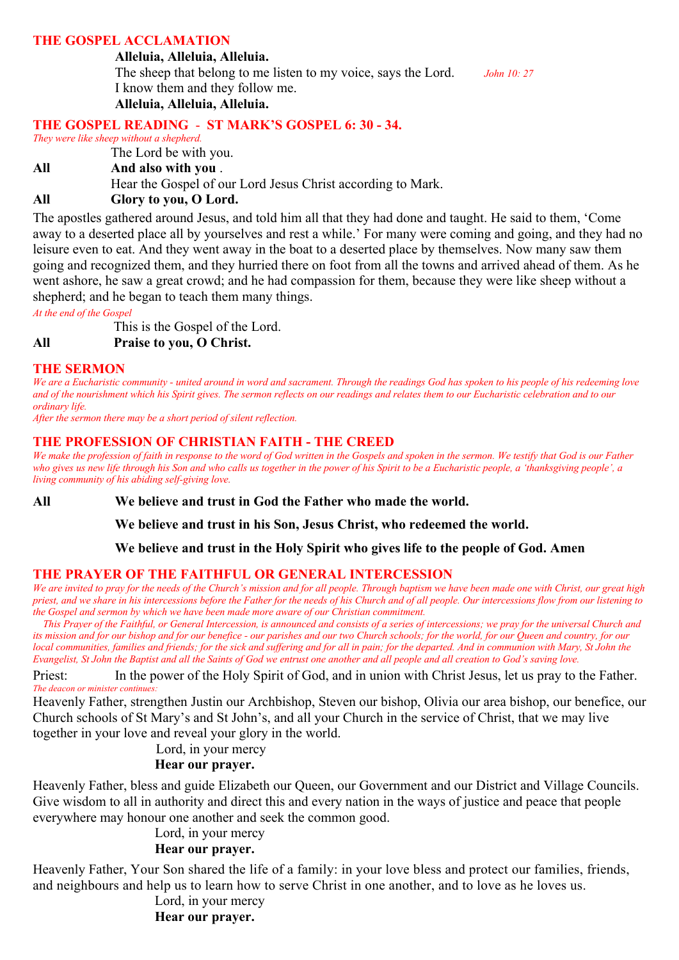#### **THE GOSPEL ACCLAMATION**

#### **Alleluia, Alleluia, Alleluia.**

The sheep that belong to me listen to my voice, says the Lord. *John 10: 27* I know them and they follow me. **Alleluia, Alleluia, Alleluia.**

#### **THE GOSPEL READING** - **ST MARK'S GOSPEL 6: 30 - 34.**

*They were like sheep without a shepherd.*

The Lord be with you.

**All And also with you** .

Hear the Gospel of our Lord Jesus Christ according to Mark.

#### **All Glory to you, O Lord.**

The apostles gathered around Jesus, and told him all that they had done and taught. He said to them, 'Come away to a deserted place all by yourselves and rest a while.' For many were coming and going, and they had no leisure even to eat. And they went away in the boat to a deserted place by themselves. Now many saw them going and recognized them, and they hurried there on foot from all the towns and arrived ahead of them. As he went ashore, he saw a great crowd; and he had compassion for them, because they were like sheep without a shepherd; and he began to teach them many things.

*At the end of the Gospel*

This is the Gospel of the Lord.

**All Praise to you, O Christ.**

#### **THE SERMON**

*We are a Eucharistic community - united around in word and sacrament. Through the readings God has spoken to his people of his redeeming love and of the nourishment which his Spirit gives. The sermon reflects on our readings and relates them to our Eucharistic celebration and to our ordinary life.*

*After the sermon there may be a short period of silent reflection.*

#### **THE PROFESSION OF CHRISTIAN FAITH - THE CREED**

*We make the profession of faith in response to the word of God written in the Gospels and spoken in the sermon. We testify that God is our Father*  who gives us new life through his Son and who calls us together in the power of his Spirit to be a Eucharistic people, a 'thanksgiving people', a *living community of his abiding self-giving love.*

**All We believe and trust in God the Father who made the world.** 

**We believe and trust in his Son, Jesus Christ, who redeemed the world.** 

**We believe and trust in the Holy Spirit who gives life to the people of God. Amen**

#### **THE PRAYER OF THE FAITHFUL OR GENERAL INTERCESSION**

*We are invited to pray for the needs of the Church's mission and for all people. Through baptism we have been made one with Christ, our great high priest, and we share in his intercessions before the Father for the needs of his Church and of all people. Our intercessions flow from our listening to the Gospel and sermon by which we have been made more aware of our Christian commitment.* 

 *This Prayer of the Faithful, or General Intercession, is announced and consists of a series of intercessions; we pray for the universal Church and its mission and for our bishop and for our benefice - our parishes and our two Church schools; for the world, for our Queen and country, for our local communities, families and friends; for the sick and suffering and for all in pain; for the departed. And in communion with Mary, St John the Evangelist, St John the Baptist and all the Saints of God we entrust one another and all people and all creation to God's saving love.*

Priest: In the power of the Holy Spirit of God, and in union with Christ Jesus, let us pray to the Father. *The deacon or minister continues:*

Heavenly Father, strengthen Justin our Archbishop, Steven our bishop, Olivia our area bishop, our benefice, our Church schools of St Mary's and St John's, and all your Church in the service of Christ, that we may live together in your love and reveal your glory in the world.

Lord, in your mercy

#### **Hear our prayer.**

Heavenly Father, bless and guide Elizabeth our Queen, our Government and our District and Village Councils. Give wisdom to all in authority and direct this and every nation in the ways of justice and peace that people everywhere may honour one another and seek the common good.

Lord, in your mercy

#### **Hear our prayer.**

Heavenly Father, Your Son shared the life of a family: in your love bless and protect our families, friends, and neighbours and help us to learn how to serve Christ in one another, and to love as he loves us.

Lord, in your mercy

 **Hear our prayer.**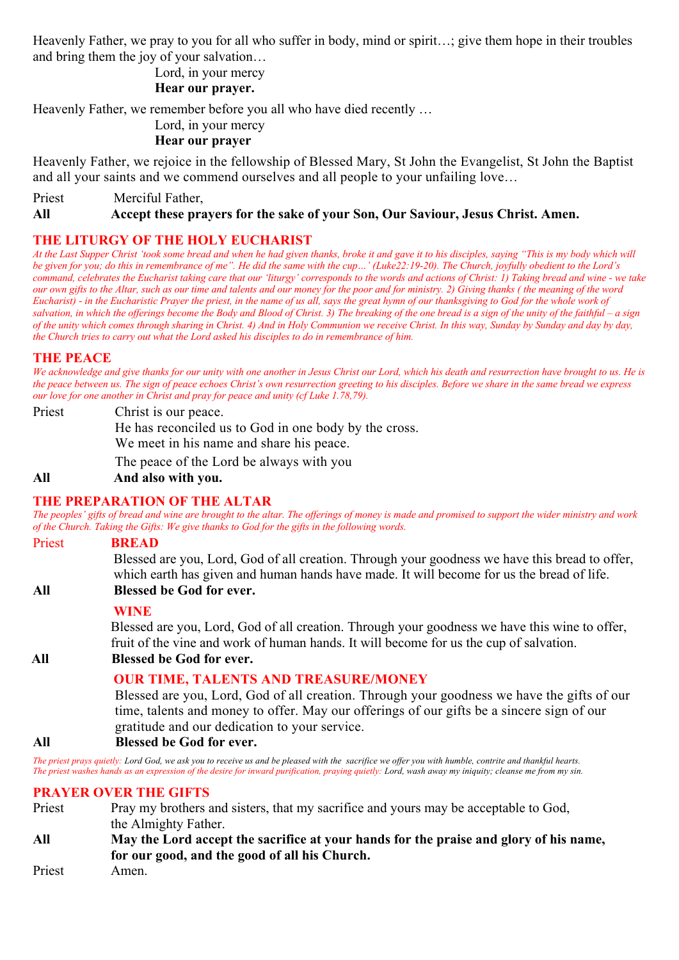Heavenly Father, we pray to you for all who suffer in body, mind or spirit…; give them hope in their troubles and bring them the joy of your salvation…

Lord, in your mercy

#### **Hear our prayer.**

Heavenly Father, we remember before you all who have died recently …

Lord, in your mercy

#### **Hear our prayer**

Heavenly Father, we rejoice in the fellowship of Blessed Mary, St John the Evangelist, St John the Baptist and all your saints and we commend ourselves and all people to your unfailing love…

Priest Merciful Father,

#### **All Accept these prayers for the sake of your Son, Our Saviour, Jesus Christ. Amen.**

#### **THE LITURGY OF THE HOLY EUCHARIST**

*At the Last Supper Christ 'took some bread and when he had given thanks, broke it and gave it to his disciples, saying "This is my body which will be given for you; do this in remembrance of me". He did the same with the cup…' (Luke22:19-20). The Church, joyfully obedient to the Lord's command, celebrates the Eucharist taking care that our 'liturgy' corresponds to the words and actions of Christ: 1) Taking bread and wine - we take our own gifts to the Altar, such as our time and talents and our money for the poor and for ministry. 2) Giving thanks ( the meaning of the word Eucharist) - in the Eucharistic Prayer the priest, in the name of us all, says the great hymn of our thanksgiving to God for the whole work of salvation, in which the offerings become the Body and Blood of Christ. 3) The breaking of the one bread is a sign of the unity of the faithful – a sign of the unity which comes through sharing in Christ. 4) And in Holy Communion we receive Christ. In this way, Sunday by Sunday and day by day, the Church tries to carry out what the Lord asked his disciples to do in remembrance of him.*

#### **THE PEACE**

*We acknowledge and give thanks for our unity with one another in Jesus Christ our Lord, which his death and resurrection have brought to us. He is the peace between us. The sign of peace echoes Christ's own resurrection greeting to his disciples. Before we share in the same bread we express our love for one another in Christ and pray for peace and unity (cf Luke 1.78,79).*

Priest Christ is our peace. He has reconciled us to God in one body by the cross. We meet in his name and share his peace. The peace of the Lord be always with you **All And also with you.**

### **THE PREPARATION OF THE ALTAR**

*The peoples' gifts of bread and wine are brought to the altar. The offerings of money is made and promised to support the wider ministry and work of the Church. Taking the Gifts: We give thanks to God for the gifts in the following words.*

#### Priest **BREAD**

Blessed are you, Lord, God of all creation. Through your goodness we have this bread to offer, which earth has given and human hands have made. It will become for us the bread of life. **All Blessed be God for ever.**

#### **WINE**

Blessed are you, Lord, God of all creation. Through your goodness we have this wine to offer, fruit of the vine and work of human hands. It will become for us the cup of salvation.

#### **All All Blessed be God for ever.**

#### **OUR TIME, TALENTS AND TREASURE/MONEY**

Blessed are you, Lord, God of all creation. Through your goodness we have the gifts of our time, talents and money to offer. May our offerings of our gifts be a sincere sign of our gratitude and our dedication to your service.

#### **All Blessed be God for ever.**

*The priest prays quietly: Lord God, we ask you to receive us and be pleased with the sacrifice we offer you with humble, contrite and thankful hearts. The priest washes hands as an expression of the desire for inward purification, praying quietly: Lord, wash away my iniquity; cleanse me from my sin.*

#### **PRAYER OVER THE GIFTS**

- Priest Pray my brothers and sisters, that my sacrifice and yours may be acceptable to God, the Almighty Father.
- **All May the Lord accept the sacrifice at your hands for the praise and glory of his name, for our good, and the good of all his Church.**
- Priest Amen.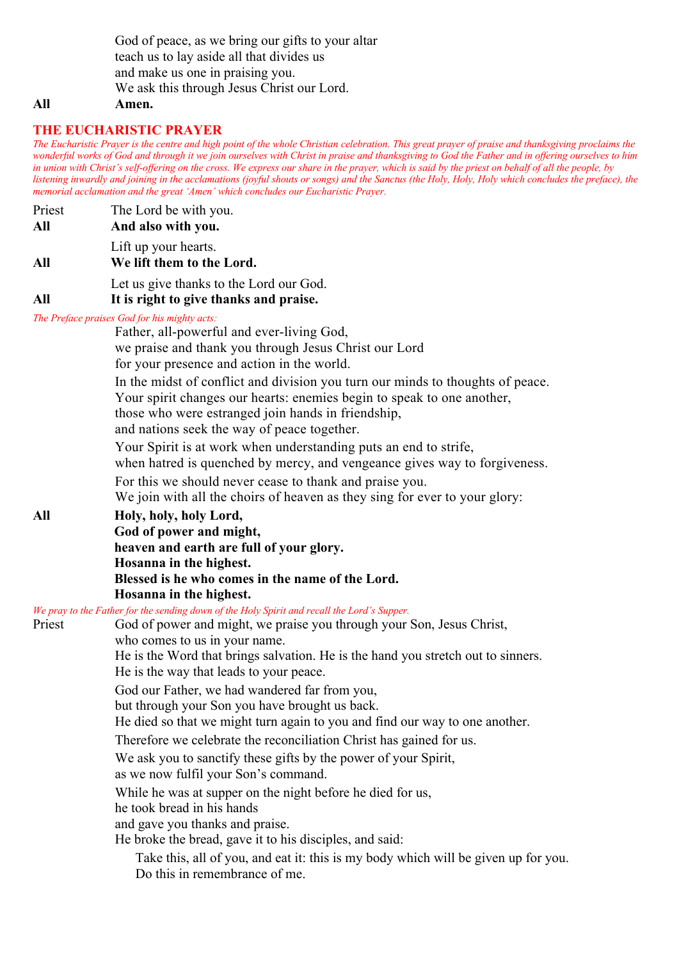God of peace, as we bring our gifts to your altar teach us to lay aside all that divides us and make us one in praising you. We ask this through Jesus Christ our Lord.

#### **All Amen.**

#### **THE EUCHARISTIC PRAYER**

*The Eucharistic Prayer is the centre and high point of the whole Christian celebration. This great prayer of praise and thanksgiving proclaims the wonderful works of God and through it we join ourselves with Christ in praise and thanksgiving to God the Father and in offering ourselves to him in union with Christ's self-offering on the cross. We express our share in the prayer, which is said by the priest on behalf of all the people, by listening inwardly and joining in the acclamations (joyful shouts or songs) and the Sanctus (the Holy, Holy, Holy which concludes the preface), the memorial acclamation and the great 'Amen' which concludes our Eucharistic Prayer.*

| Priest<br>All | The Lord be with you.<br>And also with you.                                                                                                                                                                                                                                                                                  |
|---------------|------------------------------------------------------------------------------------------------------------------------------------------------------------------------------------------------------------------------------------------------------------------------------------------------------------------------------|
| All           | Lift up your hearts.<br>We lift them to the Lord.                                                                                                                                                                                                                                                                            |
| All           | Let us give thanks to the Lord our God.<br>It is right to give thanks and praise.                                                                                                                                                                                                                                            |
|               | The Preface praises God for his mighty acts:<br>Father, all-powerful and ever-living God,<br>we praise and thank you through Jesus Christ our Lord<br>for your presence and action in the world.<br>In the midst of conflict and division you turn our minds to thoughts of peace.                                           |
|               | Your spirit changes our hearts: enemies begin to speak to one another,<br>those who were estranged join hands in friendship,<br>and nations seek the way of peace together.<br>Your Spirit is at work when understanding puts an end to strife,<br>when hatred is quenched by mercy, and vengeance gives way to forgiveness. |
|               | For this we should never cease to thank and praise you.<br>We join with all the choirs of heaven as they sing for ever to your glory:                                                                                                                                                                                        |
| All           | Holy, holy, holy Lord,<br>God of power and might,<br>heaven and earth are full of your glory.<br>Hosanna in the highest.<br>Blessed is he who comes in the name of the Lord.<br>Hosanna in the highest.                                                                                                                      |
| Priest        | We pray to the Father for the sending down of the Holy Spirit and recall the Lord's Supper.<br>God of power and might, we praise you through your Son, Jesus Christ,                                                                                                                                                         |

| Priest | God of power and might, we praise you through your Son, Jesus Christ,            |
|--------|----------------------------------------------------------------------------------|
|        | who comes to us in your name.                                                    |
|        | He is the Word that brings salvation. He is the hand you stretch out to sinners. |
|        | He is the way that leads to your peace.                                          |
|        | God our Father, we had wandered far from you,                                    |
|        | but through your Son you have brought us back.                                   |
|        | He died so that we might turn again to you and find our way to one another.      |
|        | Therefore we celebrate the reconciliation Christ has gained for us.              |
|        | We ask you to sanctify these gifts by the power of your Spirit,                  |
|        | as we now fulfil your Son's command.                                             |
|        | While he was at supper on the night before he died for us,                       |
|        | he took bread in his hands                                                       |
|        | and gave you thanks and praise.                                                  |
|        | He broke the bread, gave it to his disciples, and said:                          |

 Take this, all of you, and eat it: this is my body which will be given up for you. Do this in remembrance of me.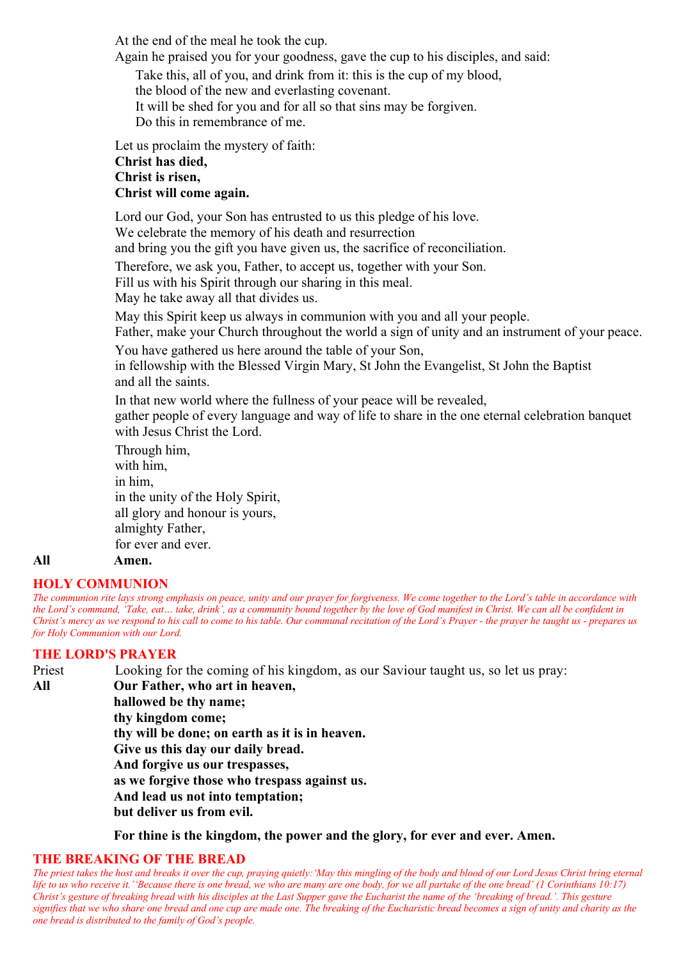At the end of the meal he took the cup.

Again he praised you for your goodness, gave the cup to his disciples, and said:

Take this, all of you, and drink from it: this is the cup of my blood,

the blood of the new and everlasting covenant.

It will be shed for you and for all so that sins may be forgiven.

Do this in remembrance of me.

Let us proclaim the mystery of faith:

#### **Christ has died,**

#### **Christ is risen,**

#### **Christ will come again.**

Lord our God, your Son has entrusted to us this pledge of his love. We celebrate the memory of his death and resurrection and bring you the gift you have given us, the sacrifice of reconciliation.

Therefore, we ask you, Father, to accept us, together with your Son.

Fill us with his Spirit through our sharing in this meal.

May he take away all that divides us.

May this Spirit keep us always in communion with you and all your people.

Father, make your Church throughout the world a sign of unity and an instrument of your peace.

You have gathered us here around the table of your Son,

in fellowship with the Blessed Virgin Mary, St John the Evangelist, St John the Baptist and all the saints.

In that new world where the fullness of your peace will be revealed,

gather people of every language and way of life to share in the one eternal celebration banquet with Jesus Christ the Lord.

Through him, with him, in him, in the unity of the Holy Spirit, all glory and honour is yours, almighty Father, for ever and ever. **All Amen.**

#### **HOLY COMMUNION**

*The communion rite lays strong emphasis on peace, unity and our prayer for forgiveness. We come together to the Lord's table in accordance with the Lord's command, 'Take, eat… take, drink', as a community bound together by the love of God manifest in Christ. We can all be confident in Christ's mercy as we respond to his call to come to his table. Our communal recitation of the Lord's Prayer - the prayer he taught us - prepares us for Holy Communion with our Lord.*

#### **THE LORD'S PRAYER**

Priest Looking for the coming of his kingdom, as our Saviour taught us, so let us pray: **All Our Father, who art in heaven, hallowed be thy name; thy kingdom come; thy will be done; on earth as it is in heaven. Give us this day our daily bread. And forgive us our trespasses, as we forgive those who trespass against us. And lead us not into temptation; but deliver us from evil.**

**For thine is the kingdom, the power and the glory, for ever and ever. Amen.**

#### **THE BREAKING OF THE BREAD**

*The priest takes the host and breaks it over the cup, praying quietly:'May this mingling of the body and blood of our Lord Jesus Christ bring eternal life to us who receive it.''Because there is one bread, we who are many are one body, for we all partake of the one bread' (1 Corinthians 10:17) Christ's gesture of breaking bread with his disciples at the Last Supper gave the Eucharist the name of the 'breaking of bread.'. This gesture signifies that we who share one bread and one cup are made one. The breaking of the Eucharistic bread becomes a sign of unity and charity as the one bread is distributed to the family of God's people.*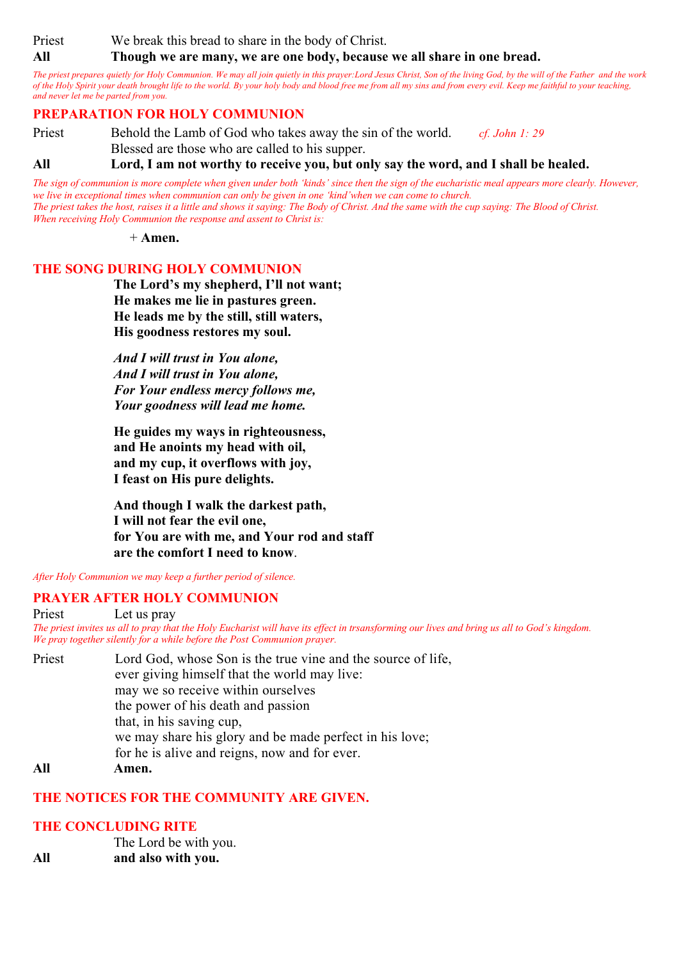Priest We break this bread to share in the body of Christ.

**All Though we are many, we are one body, because we all share in one bread.**

*The priest prepares quietly for Holy Communion. We may all join quietly in this prayer:Lord Jesus Christ, Son of the living God, by the will of the Father and the work of the Holy Spirit your death brought life to the world. By your holy body and blood free me from all my sins and from every evil. Keep me faithful to your teaching, and never let me be parted from you.*

#### **PREPARATION FOR HOLY COMMUNION**

Priest Behold the Lamb of God who takes away the sin of the world. *cf. John 1: 29* Blessed are those who are called to his supper.

**All Lord, I am not worthy to receive you, but only say the word, and I shall be healed.**

*The sign of communion is more complete when given under both 'kinds' since then the sign of the eucharistic meal appears more clearly. However, we live in exceptional times when communion can only be given in one 'kind'when we can come to church. The priest takes the host, raises it a little and shows it saying: The Body of Christ. And the same with the cup saying: The Blood of Christ. When receiving Holy Communion the response and assent to Christ is:*

 $+$  **Amen**.

#### **THE SONG DURING HOLY COMMUNION**

**The Lord's my shepherd, I'll not want; He makes me lie in pastures green. He leads me by the still, still waters, His goodness restores my soul.**

*And I will trust in You alone, And I will trust in You alone, For Your endless mercy follows me, Your goodness will lead me home.*

**He guides my ways in righteousness, and He anoints my head with oil, and my cup, it overflows with joy, I feast on His pure delights.**

**And though I walk the darkest path, I will not fear the evil one, for You are with me, and Your rod and staff are the comfort I need to know**.

*After Holy Communion we may keep a further period of silence.*

#### **PRAYER AFTER HOLY COMMUNION**

Priest Let us pray *The priest invites us all to pray that the Holy Eucharist will have its effect in trsansforming our lives and bring us all to God's kingdom. We pray together silently for a while before the Post Communion prayer.*

Priest Lord God, whose Son is the true vine and the source of life, ever giving himself that the world may live: may we so receive within ourselves the power of his death and passion that, in his saving cup, we may share his glory and be made perfect in his love; for he is alive and reigns, now and for ever. **All Amen.**

#### **THE NOTICES FOR THE COMMUNITY ARE GIVEN.**

#### **THE CONCLUDING RITE**

The Lord be with you. **All and also with you.**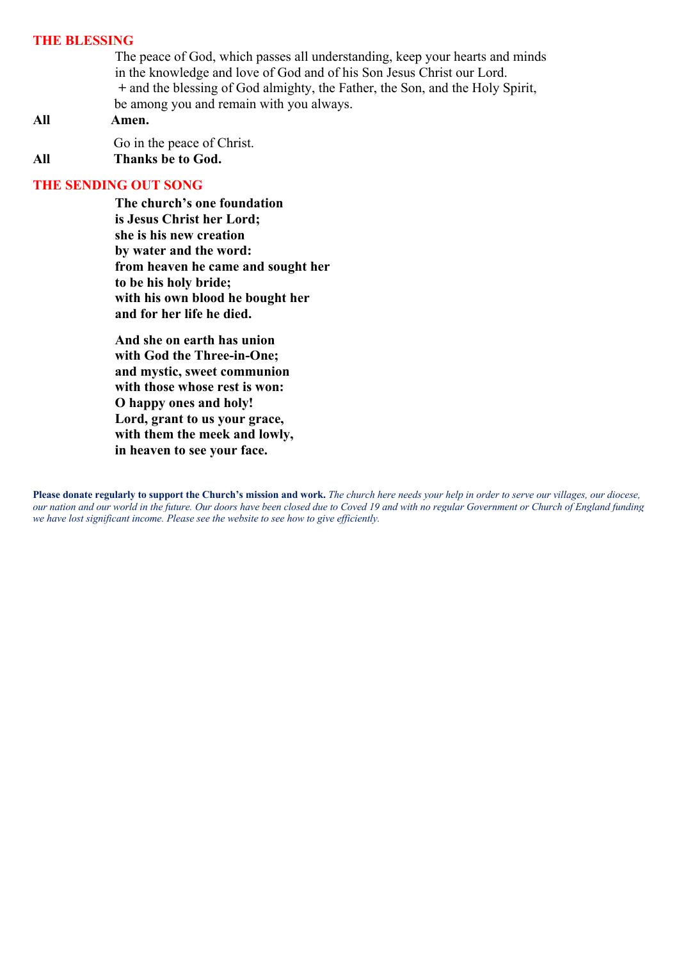#### **THE BLESSING**

The peace of God, which passes all understanding, keep your hearts and minds in the knowledge and love of God and of his Son Jesus Christ our Lord. **+** and the blessing of God almighty, the Father, the Son, and the Holy Spirit, be among you and remain with you always.

### **All Amen.**

Go in the peace of Christ. **All Thanks be to God.** 

#### **THE SENDING OUT SONG**

**The church's one foundation is Jesus Christ her Lord; she is his new creation by water and the word: from heaven he came and sought her to be his holy bride; with his own blood he bought her and for her life he died.**

**And she on earth has union with God the Three-in-One; and mystic, sweet communion with those whose rest is won: O happy ones and holy! Lord, grant to us your grace, with them the meek and lowly, in heaven to see your face.**

**Please donate regularly to support the Church's mission and work.** *The church here needs your help in order to serve our villages, our diocese, our nation and our world in the future. Our doors have been closed due to Coved 19 and with no regular Government or Church of England funding we have lost significant income. Please see the website to see how to give efficiently.*